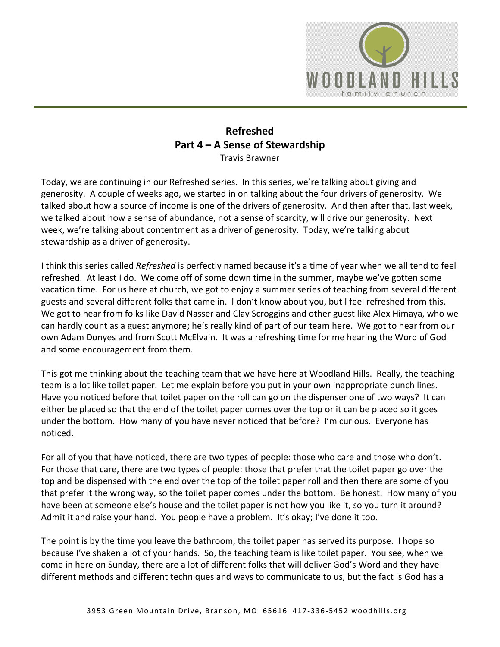

## **Refreshed Part 4 – A Sense of Stewardship**  Travis Brawner

Today, we are continuing in our Refreshed series. In this series, we're talking about giving and generosity. A couple of weeks ago, we started in on talking about the four drivers of generosity. We talked about how a source of income is one of the drivers of generosity. And then after that, last week, we talked about how a sense of abundance, not a sense of scarcity, will drive our generosity. Next week, we're talking about contentment as a driver of generosity. Today, we're talking about stewardship as a driver of generosity.

I think this series called *Refreshed* is perfectly named because it's a time of year when we all tend to feel refreshed. At least I do. We come off of some down time in the summer, maybe we've gotten some vacation time. For us here at church, we got to enjoy a summer series of teaching from several different guests and several different folks that came in. I don't know about you, but I feel refreshed from this. We got to hear from folks like David Nasser and Clay Scroggins and other guest like Alex Himaya, who we can hardly count as a guest anymore; he's really kind of part of our team here. We got to hear from our own Adam Donyes and from Scott McElvain. It was a refreshing time for me hearing the Word of God and some encouragement from them.

This got me thinking about the teaching team that we have here at Woodland Hills. Really, the teaching team is a lot like toilet paper. Let me explain before you put in your own inappropriate punch lines. Have you noticed before that toilet paper on the roll can go on the dispenser one of two ways? It can either be placed so that the end of the toilet paper comes over the top or it can be placed so it goes under the bottom. How many of you have never noticed that before? I'm curious. Everyone has noticed.

For all of you that have noticed, there are two types of people: those who care and those who don't. For those that care, there are two types of people: those that prefer that the toilet paper go over the top and be dispensed with the end over the top of the toilet paper roll and then there are some of you that prefer it the wrong way, so the toilet paper comes under the bottom. Be honest. How many of you have been at someone else's house and the toilet paper is not how you like it, so you turn it around? Admit it and raise your hand. You people have a problem. It's okay; I've done it too.

The point is by the time you leave the bathroom, the toilet paper has served its purpose. I hope so because I've shaken a lot of your hands. So, the teaching team is like toilet paper. You see, when we come in here on Sunday, there are a lot of different folks that will deliver God's Word and they have different methods and different techniques and ways to communicate to us, but the fact is God has a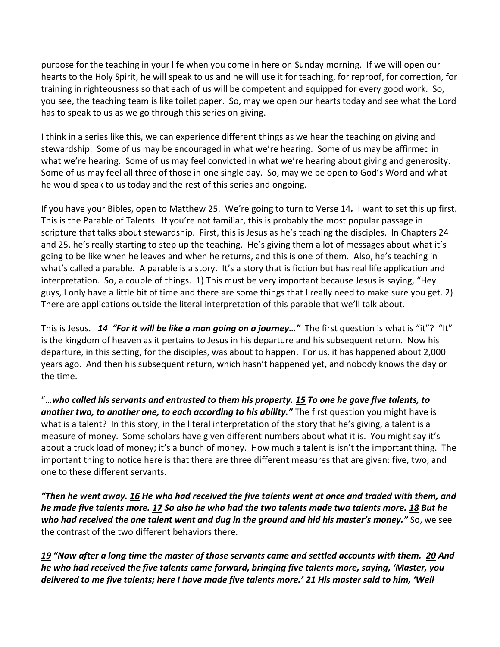purpose for the teaching in your life when you come in here on Sunday morning. If we will open our hearts to the Holy Spirit, he will speak to us and he will use it for teaching, for reproof, for correction, for training in righteousness so that each of us will be competent and equipped for every good work. So, you see, the teaching team is like toilet paper. So, may we open our hearts today and see what the Lord has to speak to us as we go through this series on giving.

I think in a series like this, we can experience different things as we hear the teaching on giving and stewardship. Some of us may be encouraged in what we're hearing. Some of us may be affirmed in what we're hearing. Some of us may feel convicted in what we're hearing about giving and generosity. Some of us may feel all three of those in one single day. So, may we be open to God's Word and what he would speak to us today and the rest of this series and ongoing.

If you have your Bibles, open to Matthew 25. We're going to turn to Verse 14*.* I want to set this up first. This is the Parable of Talents. If you're not familiar, this is probably the most popular passage in scripture that talks about stewardship. First, this is Jesus as he's teaching the disciples. In Chapters 24 and 25, he's really starting to step up the teaching. He's giving them a lot of messages about what it's going to be like when he leaves and when he returns, and this is one of them. Also, he's teaching in what's called a parable. A parable is a story. It's a story that is fiction but has real life application and interpretation. So, a couple of things. 1) This must be very important because Jesus is saying, "Hey guys, I only have a little bit of time and there are some things that I really need to make sure you get. 2) There are applications outside the literal interpretation of this parable that we'll talk about.

This is Jesus*. [14](https://www.studylight.org/desk/?q=mt%2025:14&t1=en_esv&sr=1) "For it will be like a man going on a journey…"* The first question is what is "it"? "It" is the kingdom of heaven as it pertains to Jesus in his departure and his subsequent return. Now his departure, in this setting, for the disciples, was about to happen. For us, it has happened about 2,000 years ago. And then his subsequent return, which hasn't happened yet, and nobody knows the day or the time.

"…*who called his servants and entrusted to them his property. [15](https://www.studylight.org/desk/?q=mt%2025:15&t1=en_esv&sr=1) To one he gave five talents, to another two, to another one, to each according to his ability."* The first question you might have is what is a talent? In this story, in the literal interpretation of the story that he's giving, a talent is a measure of money. Some scholars have given different numbers about what it is. You might say it's about a truck load of money; it's a bunch of money. How much a talent is isn't the important thing. The important thing to notice here is that there are three different measures that are given: five, two, and one to these different servants.

*"Then he went away. [16](https://www.studylight.org/desk/?q=mt%2025:16&t1=en_esv&sr=1) He who had received the five talents went at once and traded with them, and he made five talents more. [17](https://www.studylight.org/desk/?q=mt%2025:17&t1=en_esv&sr=1) So also he who had the two talents made two talents more. [18](https://www.studylight.org/desk/?q=mt%2025:18&t1=en_esv&sr=1) But he who had received the one talent went and dug in the ground and hid his master's money."* So, we see the contrast of the two different behaviors there.

*[19](https://www.studylight.org/desk/?q=mt%2025:19&t1=en_esv&sr=1) "Now after a long time the master of those servants came and settled accounts with them. [20](https://www.studylight.org/desk/?q=mt%2025:20&t1=en_esv&sr=1) And he who had received the five talents came forward, bringing five talents more, saying, 'Master, you delivered to me five talents; here I have made five talents more.' [21](https://www.studylight.org/desk/?q=mt%2025:21&t1=en_esv&sr=1) His master said to him, 'Well*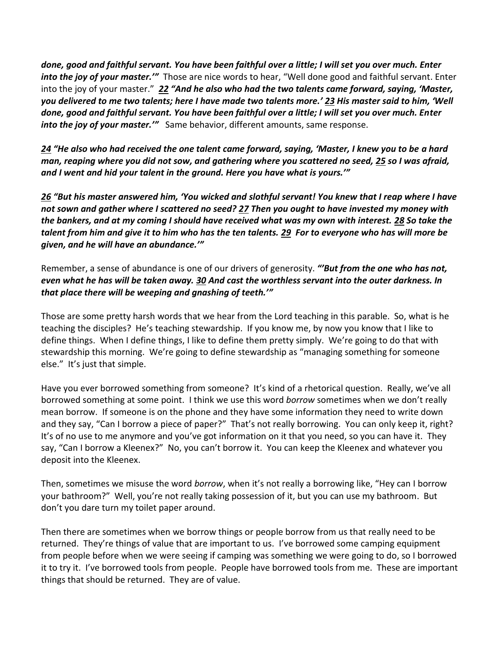*done, good and faithful servant. You have been faithful over a little; I will set you over much. Enter into the joy of your master.'*" Those are nice words to hear, "Well done good and faithful servant. Enter into the joy of your master." *[22](https://www.studylight.org/desk/?q=mt%2025:22&t1=en_esv&sr=1) "And he also who had the two talents came forward, saying, 'Master, you delivered to me two talents; here I have made two talents more.' [23](https://www.studylight.org/desk/?q=mt%2025:23&t1=en_esv&sr=1) His master said to him, 'Well done, good and faithful servant. You have been faithful over a little; I will set you over much. Enter into the joy of your master.'*" Same behavior, different amounts, same response.

*[24](https://www.studylight.org/desk/?q=mt%2025:24&t1=en_esv&sr=1) "He also who had received the one talent came forward, saying, 'Master, I knew you to be a hard man, reaping where you did not sow, and gathering where you scattered no seed, [25](https://www.studylight.org/desk/?q=mt%2025:25&t1=en_esv&sr=1) so I was afraid, and I went and hid your talent in the ground. Here you have what is yours.'"* 

*[26](https://www.studylight.org/desk/?q=mt%2025:26&t1=en_esv&sr=1) "But his master answered him, 'You wicked and slothful servant! You knew that I reap where I have not sown and gather where I scattered no seed? [27](https://www.studylight.org/desk/?q=mt%2025:27&t1=en_esv&sr=1) Then you ought to have invested my money with the bankers, and at my coming I should have received what was my own with interest. [28](https://www.studylight.org/desk/?q=mt%2025:28&t1=en_esv&sr=1) So take the talent from him and give it to him who has the ten talents. [29](https://www.studylight.org/desk/?q=mt%2025:29&t1=en_esv&sr=1) For to everyone who has will more be given, and he will have an abundance.'"* 

Remember, a sense of abundance is one of our drivers of generosity. *"'But from the one who has not, even what he has will be taken away. [30](https://www.studylight.org/desk/?q=mt%2025:30&t1=en_esv&sr=1) And cast the worthless servant into the outer darkness. In that place there will be weeping and gnashing of teeth.'"*

Those are some pretty harsh words that we hear from the Lord teaching in this parable. So, what is he teaching the disciples? He's teaching stewardship. If you know me, by now you know that I like to define things. When I define things, I like to define them pretty simply. We're going to do that with stewardship this morning. We're going to define stewardship as "managing something for someone else." It's just that simple.

Have you ever borrowed something from someone? It's kind of a rhetorical question. Really, we've all borrowed something at some point. I think we use this word *borrow* sometimes when we don't really mean borrow. If someone is on the phone and they have some information they need to write down and they say, "Can I borrow a piece of paper?" That's not really borrowing. You can only keep it, right? It's of no use to me anymore and you've got information on it that you need, so you can have it. They say, "Can I borrow a Kleenex?" No, you can't borrow it. You can keep the Kleenex and whatever you deposit into the Kleenex.

Then, sometimes we misuse the word *borrow*, when it's not really a borrowing like, "Hey can I borrow your bathroom?" Well, you're not really taking possession of it, but you can use my bathroom. But don't you dare turn my toilet paper around.

Then there are sometimes when we borrow things or people borrow from us that really need to be returned. They're things of value that are important to us. I've borrowed some camping equipment from people before when we were seeing if camping was something we were going to do, so I borrowed it to try it. I've borrowed tools from people. People have borrowed tools from me. These are important things that should be returned. They are of value.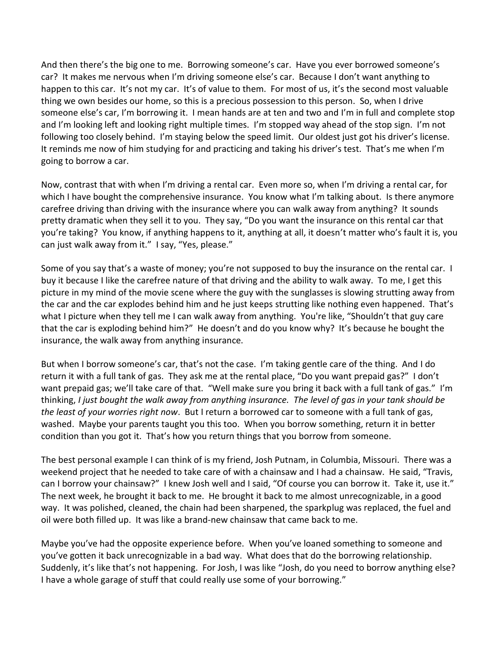And then there's the big one to me. Borrowing someone's car. Have you ever borrowed someone's car? It makes me nervous when I'm driving someone else's car. Because I don't want anything to happen to this car. It's not my car. It's of value to them. For most of us, it's the second most valuable thing we own besides our home, so this is a precious possession to this person. So, when I drive someone else's car, I'm borrowing it. I mean hands are at ten and two and I'm in full and complete stop and I'm looking left and looking right multiple times. I'm stopped way ahead of the stop sign. I'm not following too closely behind. I'm staying below the speed limit. Our oldest just got his driver's license. It reminds me now of him studying for and practicing and taking his driver's test. That's me when I'm going to borrow a car.

Now, contrast that with when I'm driving a rental car. Even more so, when I'm driving a rental car, for which I have bought the comprehensive insurance. You know what I'm talking about. Is there anymore carefree driving than driving with the insurance where you can walk away from anything? It sounds pretty dramatic when they sell it to you. They say, "Do you want the insurance on this rental car that you're taking? You know, if anything happens to it, anything at all, it doesn't matter who's fault it is, you can just walk away from it." I say, "Yes, please."

Some of you say that's a waste of money; you're not supposed to buy the insurance on the rental car. I buy it because I like the carefree nature of that driving and the ability to walk away. To me, I get this picture in my mind of the movie scene where the guy with the sunglasses is slowing strutting away from the car and the car explodes behind him and he just keeps strutting like nothing even happened. That's what I picture when they tell me I can walk away from anything. You're like, "Shouldn't that guy care that the car is exploding behind him?" He doesn't and do you know why? It's because he bought the insurance, the walk away from anything insurance.

But when I borrow someone's car, that's not the case. I'm taking gentle care of the thing. And I do return it with a full tank of gas. They ask me at the rental place, "Do you want prepaid gas?" I don't want prepaid gas; we'll take care of that. "Well make sure you bring it back with a full tank of gas." I'm thinking, *I just bought the walk away from anything insurance. The level of gas in your tank should be the least of your worries right now*. But I return a borrowed car to someone with a full tank of gas, washed. Maybe your parents taught you this too. When you borrow something, return it in better condition than you got it. That's how you return things that you borrow from someone.

The best personal example I can think of is my friend, Josh Putnam, in Columbia, Missouri. There was a weekend project that he needed to take care of with a chainsaw and I had a chainsaw. He said, "Travis, can I borrow your chainsaw?" I knew Josh well and I said, "Of course you can borrow it. Take it, use it." The next week, he brought it back to me. He brought it back to me almost unrecognizable, in a good way. It was polished, cleaned, the chain had been sharpened, the sparkplug was replaced, the fuel and oil were both filled up. It was like a brand-new chainsaw that came back to me.

Maybe you've had the opposite experience before. When you've loaned something to someone and you've gotten it back unrecognizable in a bad way. What does that do the borrowing relationship. Suddenly, it's like that's not happening. For Josh, I was like "Josh, do you need to borrow anything else? I have a whole garage of stuff that could really use some of your borrowing."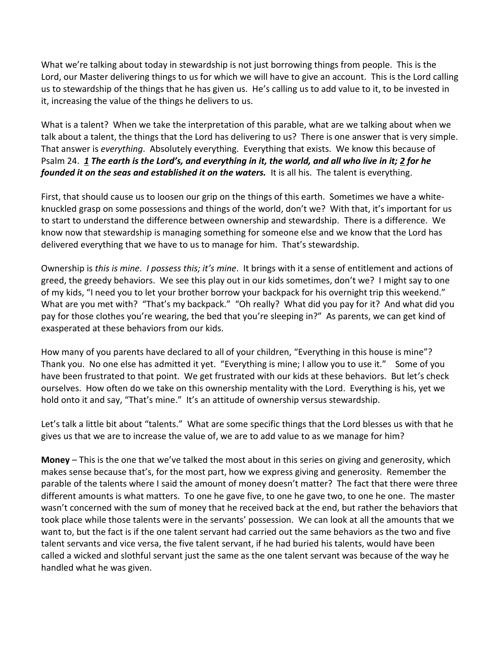What we're talking about today in stewardship is not just borrowing things from people. This is the Lord, our Master delivering things to us for which we will have to give an account. This is the Lord calling us to stewardship of the things that he has given us. He's calling us to add value to it, to be invested in it, increasing the value of the things he delivers to us.

What is a talent? When we take the interpretation of this parable, what are we talking about when we talk about a talent, the things that the Lord has delivering to us? There is one answer that is very simple. That answer is *everything*. Absolutely everything. Everything that exists. We know this because of Psalm 24. *[1](https://www.studylight.org/desk/?q=ps%2024:1&t1=en_niv&sr=1) The earth is the Lord's, and everything in it, the world, and all who live in it[; 2](https://www.studylight.org/desk/?q=ps%2024:2&t1=en_niv&sr=1) for he founded it on the seas and established it on the waters.* It is all his. The talent is everything.

First, that should cause us to loosen our grip on the things of this earth. Sometimes we have a whiteknuckled grasp on some possessions and things of the world, don't we? With that, it's important for us to start to understand the difference between ownership and stewardship. There is a difference. We know now that stewardship is managing something for someone else and we know that the Lord has delivered everything that we have to us to manage for him. That's stewardship.

Ownership is *this is mine*. *I possess this; it's mine*. It brings with it a sense of entitlement and actions of greed, the greedy behaviors. We see this play out in our kids sometimes, don't we? I might say to one of my kids, "I need you to let your brother borrow your backpack for his overnight trip this weekend." What are you met with? "That's my backpack." "Oh really? What did you pay for it? And what did you pay for those clothes you're wearing, the bed that you're sleeping in?" As parents, we can get kind of exasperated at these behaviors from our kids.

How many of you parents have declared to all of your children, "Everything in this house is mine"? Thank you. No one else has admitted it yet. "Everything is mine; I allow you to use it." Some of you have been frustrated to that point. We get frustrated with our kids at these behaviors. But let's check ourselves. How often do we take on this ownership mentality with the Lord. Everything is his, yet we hold onto it and say, "That's mine." It's an attitude of ownership versus stewardship.

Let's talk a little bit about "talents." What are some specific things that the Lord blesses us with that he gives us that we are to increase the value of, we are to add value to as we manage for him?

**Money** – This is the one that we've talked the most about in this series on giving and generosity, which makes sense because that's, for the most part, how we express giving and generosity. Remember the parable of the talents where I said the amount of money doesn't matter? The fact that there were three different amounts is what matters. To one he gave five, to one he gave two, to one he one. The master wasn't concerned with the sum of money that he received back at the end, but rather the behaviors that took place while those talents were in the servants' possession. We can look at all the amounts that we want to, but the fact is if the one talent servant had carried out the same behaviors as the two and five talent servants and vice versa, the five talent servant, if he had buried his talents, would have been called a wicked and slothful servant just the same as the one talent servant was because of the way he handled what he was given.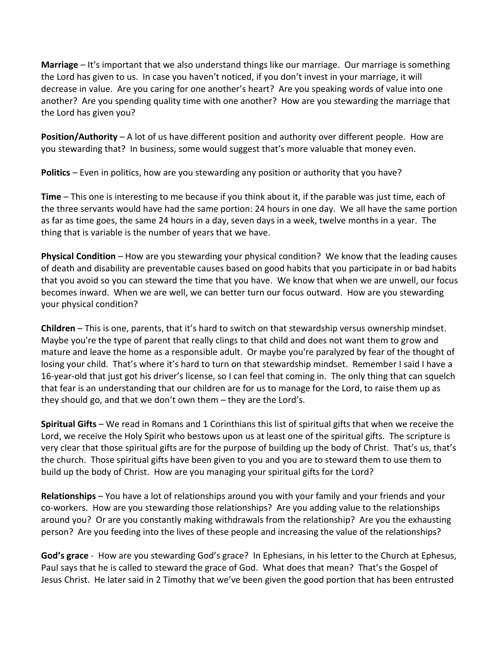**Marriage** – It's important that we also understand things like our marriage. Our marriage is something the Lord has given to us. In case you haven't noticed, if you don't invest in your marriage, it will decrease in value. Are you caring for one another's heart? Are you speaking words of value into one another? Are you spending quality time with one another? How are you stewarding the marriage that the Lord has given you?

**Position/Authority** – A lot of us have different position and authority over different people. How are you stewarding that? In business, some would suggest that's more valuable that money even.

**Politics** – Even in politics, how are you stewarding any position or authority that you have?

**Time** – This one is interesting to me because if you think about it, if the parable was just time, each of the three servants would have had the same portion: 24 hours in one day. We all have the same portion as far as time goes, the same 24 hours in a day, seven days in a week, twelve months in a year. The thing that is variable is the number of years that we have.

**Physical Condition** – How are you stewarding your physical condition? We know that the leading causes of death and disability are preventable causes based on good habits that you participate in or bad habits that you avoid so you can steward the time that you have. We know that when we are unwell, our focus becomes inward. When we are well, we can better turn our focus outward. How are you stewarding your physical condition?

**Children** – This is one, parents, that it's hard to switch on that stewardship versus ownership mindset. Maybe you're the type of parent that really clings to that child and does not want them to grow and mature and leave the home as a responsible adult. Or maybe you're paralyzed by fear of the thought of losing your child. That's where it's hard to turn on that stewardship mindset. Remember I said I have a 16-year-old that just got his driver's license, so I can feel that coming in. The only thing that can squelch that fear is an understanding that our children are for us to manage for the Lord, to raise them up as they should go, and that we don't own them – they are the Lord's.

**Spiritual Gifts** – We read in Romans and 1 Corinthians this list of spiritual gifts that when we receive the Lord, we receive the Holy Spirit who bestows upon us at least one of the spiritual gifts. The scripture is very clear that those spiritual gifts are for the purpose of building up the body of Christ. That's us, that's the church. Those spiritual gifts have been given to you and you are to steward them to use them to build up the body of Christ. How are you managing your spiritual gifts for the Lord?

**Relationships** – You have a lot of relationships around you with your family and your friends and your co-workers. How are you stewarding those relationships? Are you adding value to the relationships around you? Or are you constantly making withdrawals from the relationship? Are you the exhausting person? Are you feeding into the lives of these people and increasing the value of the relationships?

**God's grace** - How are you stewarding God's grace? In Ephesians, in his letter to the Church at Ephesus, Paul says that he is called to steward the grace of God. What does that mean? That's the Gospel of Jesus Christ. He later said in 2 Timothy that we've been given the good portion that has been entrusted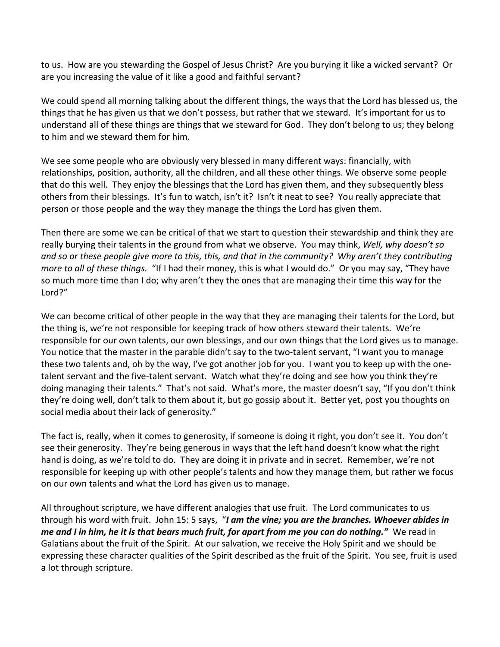to us. How are you stewarding the Gospel of Jesus Christ? Are you burying it like a wicked servant? Or are you increasing the value of it like a good and faithful servant?

We could spend all morning talking about the different things, the ways that the Lord has blessed us, the things that he has given us that we don't possess, but rather that we steward. It's important for us to understand all of these things are things that we steward for God. They don't belong to us; they belong to him and we steward them for him.

We see some people who are obviously very blessed in many different ways: financially, with relationships, position, authority, all the children, and all these other things. We observe some people that do this well. They enjoy the blessings that the Lord has given them, and they subsequently bless others from their blessings. It's fun to watch, isn't it? Isn't it neat to see? You really appreciate that person or those people and the way they manage the things the Lord has given them.

Then there are some we can be critical of that we start to question their stewardship and think they are really burying their talents in the ground from what we observe. You may think, *Well, why doesn't so and so or these people give more to this, this, and that in the community? Why aren't they contributing more to all of these things.* "If I had their money, this is what I would do." Or you may say, "They have so much more time than I do; why aren't they the ones that are managing their time this way for the Lord?"

We can become critical of other people in the way that they are managing their talents for the Lord, but the thing is, we're not responsible for keeping track of how others steward their talents. We're responsible for our own talents, our own blessings, and our own things that the Lord gives us to manage. You notice that the master in the parable didn't say to the two-talent servant, "I want you to manage these two talents and, oh by the way, I've got another job for you. I want you to keep up with the onetalent servant and the five-talent servant. Watch what they're doing and see how you think they're doing managing their talents." That's not said. What's more, the master doesn't say, "If you don't think they're doing well, don't talk to them about it, but go gossip about it. Better yet, post you thoughts on social media about their lack of generosity."

The fact is, really, when it comes to generosity, if someone is doing it right, you don't see it. You don't see their generosity. They're being generous in ways that the left hand doesn't know what the right hand is doing, as we're told to do. They are doing it in private and in secret. Remember, we're not responsible for keeping up with other people's talents and how they manage them, but rather we focus on our own talents and what the Lord has given us to manage.

All throughout scripture, we have different analogies that use fruit. The Lord communicates to us through his word with fruit. John 15: 5 says, "*I am the vine; you are the branches. Whoever abides in me and I in him, he it is that bears much fruit, for apart from me you can do nothing."* We read in Galatians about the fruit of the Spirit. At our salvation, we receive the Holy Spirit and we should be expressing these character qualities of the Spirit described as the fruit of the Spirit. You see, fruit is used a lot through scripture.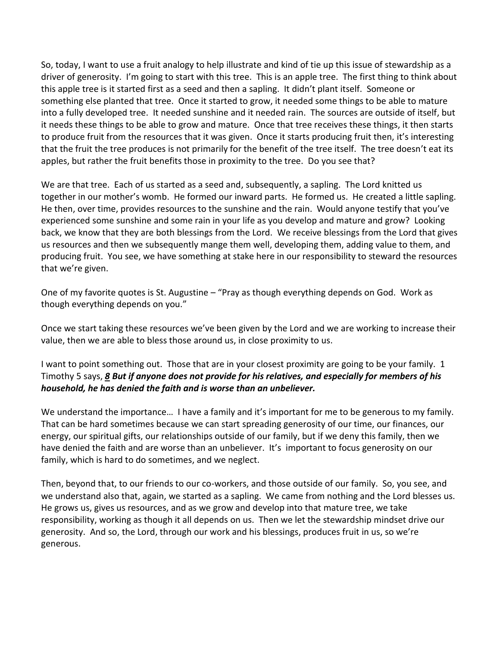So, today, I want to use a fruit analogy to help illustrate and kind of tie up this issue of stewardship as a driver of generosity. I'm going to start with this tree. This is an apple tree. The first thing to think about this apple tree is it started first as a seed and then a sapling. It didn't plant itself. Someone or something else planted that tree. Once it started to grow, it needed some things to be able to mature into a fully developed tree. It needed sunshine and it needed rain. The sources are outside of itself, but it needs these things to be able to grow and mature. Once that tree receives these things, it then starts to produce fruit from the resources that it was given. Once it starts producing fruit then, it's interesting that the fruit the tree produces is not primarily for the benefit of the tree itself. The tree doesn't eat its apples, but rather the fruit benefits those in proximity to the tree. Do you see that?

We are that tree. Each of us started as a seed and, subsequently, a sapling. The Lord knitted us together in our mother's womb. He formed our inward parts. He formed us. He created a little sapling. He then, over time, provides resources to the sunshine and the rain. Would anyone testify that you've experienced some sunshine and some rain in your life as you develop and mature and grow? Looking back, we know that they are both blessings from the Lord. We receive blessings from the Lord that gives us resources and then we subsequently mange them well, developing them, adding value to them, and producing fruit. You see, we have something at stake here in our responsibility to steward the resources that we're given.

One of my favorite quotes is St. Augustine – "Pray as though everything depends on God. Work as though everything depends on you."

Once we start taking these resources we've been given by the Lord and we are working to increase their value, then we are able to bless those around us, in close proximity to us.

I want to point something out. Those that are in your closest proximity are going to be your family. 1 Timothy 5 says, *[8](https://www.studylight.org/desk/?q=1ti%205:8&t1=en_esv&sr=1) But if anyone does not provide for his relatives, and especially for members of his household, he has denied the faith and is worse than an unbeliever.*

We understand the importance… I have a family and it's important for me to be generous to my family. That can be hard sometimes because we can start spreading generosity of our time, our finances, our energy, our spiritual gifts, our relationships outside of our family, but if we deny this family, then we have denied the faith and are worse than an unbeliever. It's important to focus generosity on our family, which is hard to do sometimes, and we neglect.

Then, beyond that, to our friends to our co-workers, and those outside of our family. So, you see, and we understand also that, again, we started as a sapling. We came from nothing and the Lord blesses us. He grows us, gives us resources, and as we grow and develop into that mature tree, we take responsibility, working as though it all depends on us. Then we let the stewardship mindset drive our generosity. And so, the Lord, through our work and his blessings, produces fruit in us, so we're generous.